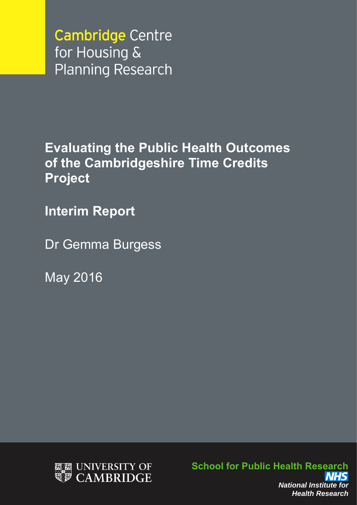**Cambridge Centre** for Housing & **Planning Research** 

**Evaluating the Public Health Outcomes of the Cambridgeshire Time Credits Project**

**Interim Report**

Dr Gemma Burgess

May 2016



**School for Public Health Research** *National Institute for Health Research*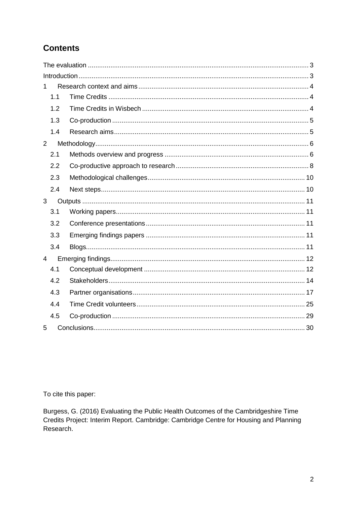# **Contents**

| 1              |  |
|----------------|--|
| 1.1            |  |
| 1.2            |  |
| 1.3            |  |
| 1.4            |  |
| $\overline{2}$ |  |
| 2.1            |  |
| 2.2            |  |
| 2.3            |  |
| 2.4            |  |
| 3              |  |
|                |  |
| 3.1            |  |
| 3.2            |  |
| 3.3            |  |
| 3.4            |  |
| $\overline{4}$ |  |
| 4.1            |  |
| 4.2            |  |
| 4.3            |  |
| 4.4            |  |
| 4.5            |  |

To cite this paper:

Burgess, G. (2016) Evaluating the Public Health Outcomes of the Cambridgeshire Time Credits Project: Interim Report. Cambridge: Cambridge Centre for Housing and Planning Research.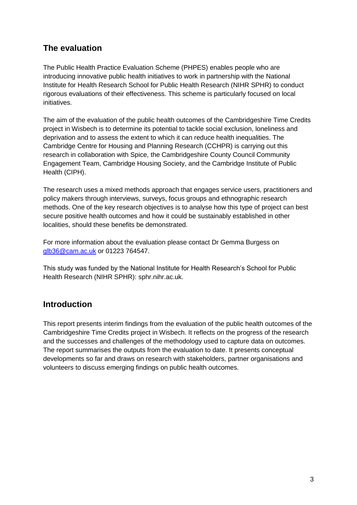## <span id="page-2-0"></span>**The evaluation**

The Public Health Practice Evaluation Scheme (PHPES) enables people who are introducing innovative public health initiatives to work in partnership with the National Institute for Health Research School for Public Health Research (NIHR SPHR) to conduct rigorous evaluations of their effectiveness. This scheme is particularly focused on local initiatives.

The aim of the evaluation of the public health outcomes of the Cambridgeshire Time Credits project in Wisbech is to determine its potential to tackle social exclusion, loneliness and deprivation and to assess the extent to which it can reduce health inequalities. The Cambridge Centre for Housing and Planning Research (CCHPR) is carrying out this research in collaboration with Spice, the Cambridgeshire County Council Community Engagement Team, Cambridge Housing Society, and the Cambridge Institute of Public Health (CIPH).

The research uses a mixed methods approach that engages service users, practitioners and policy makers through interviews, surveys, focus groups and ethnographic research methods. One of the key research objectives is to analyse how this type of project can best secure positive health outcomes and how it could be sustainably established in other localities, should these benefits be demonstrated.

For more information about the evaluation please contact Dr Gemma Burgess on [glb36@cam.ac.uk](mailto:glb36@cam.ac.uk) or 01223 764547.

This study was funded by the National Institute for Health Research's School for Public Health Research (NIHR SPHR): sphr.nihr.ac.uk.

## <span id="page-2-1"></span>**Introduction**

This report presents interim findings from the evaluation of the public health outcomes of the Cambridgeshire Time Credits project in Wisbech. It reflects on the progress of the research and the successes and challenges of the methodology used to capture data on outcomes. The report summarises the outputs from the evaluation to date. It presents conceptual developments so far and draws on research with stakeholders, partner organisations and volunteers to discuss emerging findings on public health outcomes.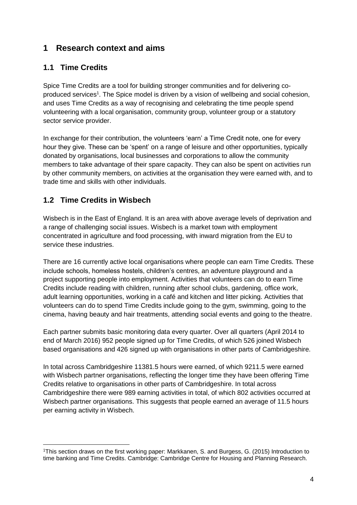## <span id="page-3-0"></span>**1 Research context and aims**

## <span id="page-3-1"></span>**1.1 Time Credits**

Spice Time Credits are a tool for building stronger communities and for delivering coproduced services<sup>1</sup>. The Spice model is driven by a vision of wellbeing and social cohesion, and uses Time Credits as a way of recognising and celebrating the time people spend volunteering with a local organisation, community group, volunteer group or a statutory sector service provider.

In exchange for their contribution, the volunteers 'earn' a Time Credit note, one for every hour they give. These can be 'spent' on a range of leisure and other opportunities, typically donated by organisations, local businesses and corporations to allow the community members to take advantage of their spare capacity. They can also be spent on activities run by other community members, on activities at the organisation they were earned with, and to trade time and skills with other individuals.

## <span id="page-3-2"></span>**1.2 Time Credits in Wisbech**

1

Wisbech is in the East of England. It is an area with above average levels of deprivation and a range of challenging social issues. Wisbech is a market town with employment concentrated in agriculture and food processing, with inward migration from the EU to service these industries.

There are 16 currently active local organisations where people can earn Time Credits. These include schools, homeless hostels, children's centres, an adventure playground and a project supporting people into employment. Activities that volunteers can do to earn Time Credits include reading with children, running after school clubs, gardening, office work, adult learning opportunities, working in a café and kitchen and litter picking. Activities that volunteers can do to spend Time Credits include going to the gym, swimming, going to the cinema, having beauty and hair treatments, attending social events and going to the theatre.

Each partner submits basic monitoring data every quarter. Over all quarters (April 2014 to end of March 2016) 952 people signed up for Time Credits, of which 526 joined Wisbech based organisations and 426 signed up with organisations in other parts of Cambridgeshire.

In total across Cambridgeshire 11381.5 hours were earned, of which 9211.5 were earned with Wisbech partner organisations, reflecting the longer time they have been offering Time Credits relative to organisations in other parts of Cambridgeshire. In total across Cambridgeshire there were 989 earning activities in total, of which 802 activities occurred at Wisbech partner organisations. This suggests that people earned an average of 11.5 hours per earning activity in Wisbech.

<sup>1</sup>This section draws on the first working paper: Markkanen, S. and Burgess, G. (2015) Introduction to time banking and Time Credits. Cambridge: Cambridge Centre for Housing and Planning Research.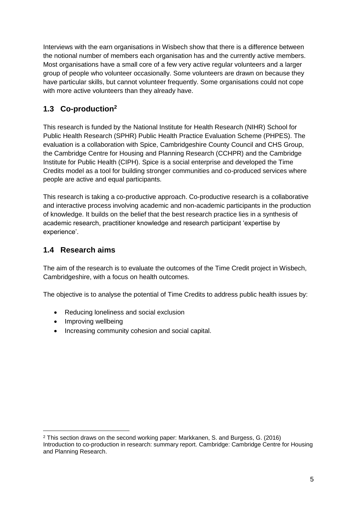Interviews with the earn organisations in Wisbech show that there is a difference between the notional number of members each organisation has and the currently active members. Most organisations have a small core of a few very active regular volunteers and a larger group of people who volunteer occasionally. Some volunteers are drawn on because they have particular skills, but cannot volunteer frequently. Some organisations could not cope with more active volunteers than they already have.

## <span id="page-4-0"></span>**1.3 Co-production<sup>2</sup>**

This research is funded by the National Institute for Health Research (NIHR) School for Public Health Research (SPHR) Public Health Practice Evaluation Scheme (PHPES). The evaluation is a collaboration with Spice, Cambridgeshire County Council and CHS Group, the Cambridge Centre for Housing and Planning Research (CCHPR) and the Cambridge Institute for Public Health (CIPH). Spice is a social enterprise and developed the Time Credits model as a tool for building stronger communities and co-produced services where people are active and equal participants.

This research is taking a co-productive approach. Co-productive research is a collaborative and interactive process involving academic and non-academic participants in the production of knowledge. It builds on the belief that the best research practice lies in a synthesis of academic research, practitioner knowledge and research participant 'expertise by experience'.

## <span id="page-4-1"></span>**1.4 Research aims**

The aim of the research is to evaluate the outcomes of the Time Credit project in Wisbech, Cambridgeshire, with a focus on health outcomes.

The objective is to analyse the potential of Time Credits to address public health issues by:

- Reducing loneliness and social exclusion
- Improving wellbeing

1

• Increasing community cohesion and social capital.

<sup>2</sup> This section draws on the second working paper: Markkanen, S. and Burgess, G. (2016) Introduction to co-production in research: summary report. Cambridge: Cambridge Centre for Housing and Planning Research.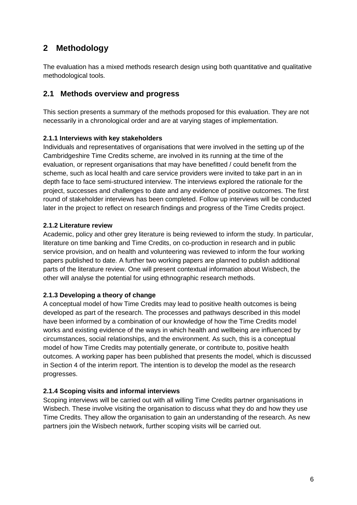# <span id="page-5-0"></span>**2 Methodology**

The evaluation has a mixed methods research design using both quantitative and qualitative methodological tools.

## <span id="page-5-1"></span>**2.1 Methods overview and progress**

This section presents a summary of the methods proposed for this evaluation. They are not necessarily in a chronological order and are at varying stages of implementation.

## **2.1.1 Interviews with key stakeholders**

Individuals and representatives of organisations that were involved in the setting up of the Cambridgeshire Time Credits scheme, are involved in its running at the time of the evaluation, or represent organisations that may have benefitted / could benefit from the scheme, such as local health and care service providers were invited to take part in an in depth face to face semi-structured interview. The interviews explored the rationale for the project, successes and challenges to date and any evidence of positive outcomes. The first round of stakeholder interviews has been completed. Follow up interviews will be conducted later in the project to reflect on research findings and progress of the Time Credits project.

## **2.1.2 Literature review**

Academic, policy and other grey literature is being reviewed to inform the study. In particular, literature on time banking and Time Credits, on co-production in research and in public service provision, and on health and volunteering was reviewed to inform the four working papers published to date. A further two working papers are planned to publish additional parts of the literature review. One will present contextual information about Wisbech, the other will analyse the potential for using ethnographic research methods.

## **2.1.3 Developing a theory of change**

A conceptual model of how Time Credits may lead to positive health outcomes is being developed as part of the research. The processes and pathways described in this model have been informed by a combination of our knowledge of how the Time Credits model works and existing evidence of the ways in which health and wellbeing are influenced by circumstances, social relationships, and the environment. As such, this is a conceptual model of how Time Credits may potentially generate, or contribute to, positive health outcomes. A working paper has been published that presents the model, which is discussed in Section 4 of the interim report. The intention is to develop the model as the research progresses.

### **2.1.4 Scoping visits and informal interviews**

Scoping interviews will be carried out with all willing Time Credits partner organisations in Wisbech. These involve visiting the organisation to discuss what they do and how they use Time Credits. They allow the organisation to gain an understanding of the research. As new partners join the Wisbech network, further scoping visits will be carried out.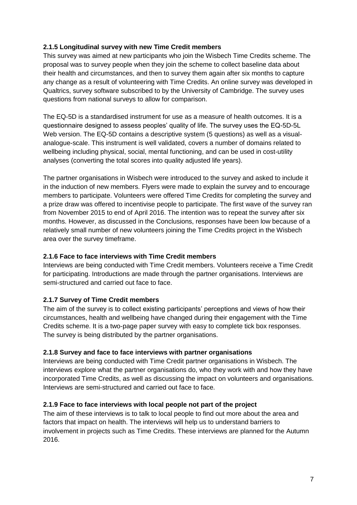## **2.1.5 Longitudinal survey with new Time Credit members**

This survey was aimed at new participants who join the Wisbech Time Credits scheme. The proposal was to survey people when they join the scheme to collect baseline data about their health and circumstances, and then to survey them again after six months to capture any change as a result of volunteering with Time Credits. An online survey was developed in Qualtrics, survey software subscribed to by the University of Cambridge. The survey uses questions from national surveys to allow for comparison.

The EQ-5D is a standardised instrument for use as a measure of health outcomes. It is a questionnaire designed to assess peoples' quality of life. The survey uses the EQ-5D-5L Web version. The EQ-5D contains a descriptive system (5 questions) as well as a visualanalogue-scale. This instrument is well validated, covers a number of domains related to wellbeing including physical, social, mental functioning, and can be used in cost-utility analyses (converting the total scores into quality adjusted life years).

The partner organisations in Wisbech were introduced to the survey and asked to include it in the induction of new members. Flyers were made to explain the survey and to encourage members to participate. Volunteers were offered Time Credits for completing the survey and a prize draw was offered to incentivise people to participate. The first wave of the survey ran from November 2015 to end of April 2016. The intention was to repeat the survey after six months. However, as discussed in the Conclusions, responses have been low because of a relatively small number of new volunteers joining the Time Credits project in the Wisbech area over the survey timeframe.

### **2.1.6 Face to face interviews with Time Credit members**

Interviews are being conducted with Time Credit members. Volunteers receive a Time Credit for participating. Introductions are made through the partner organisations. Interviews are semi-structured and carried out face to face.

### **2.1.7 Survey of Time Credit members**

The aim of the survey is to collect existing participants' perceptions and views of how their circumstances, health and wellbeing have changed during their engagement with the Time Credits scheme. It is a two-page paper survey with easy to complete tick box responses. The survey is being distributed by the partner organisations.

#### **2.1.8 Survey and face to face interviews with partner organisations**

Interviews are being conducted with Time Credit partner organisations in Wisbech. The interviews explore what the partner organisations do, who they work with and how they have incorporated Time Credits, as well as discussing the impact on volunteers and organisations. Interviews are semi-structured and carried out face to face.

#### **2.1.9 Face to face interviews with local people not part of the project**

The aim of these interviews is to talk to local people to find out more about the area and factors that impact on health. The interviews will help us to understand barriers to involvement in projects such as Time Credits. These interviews are planned for the Autumn 2016.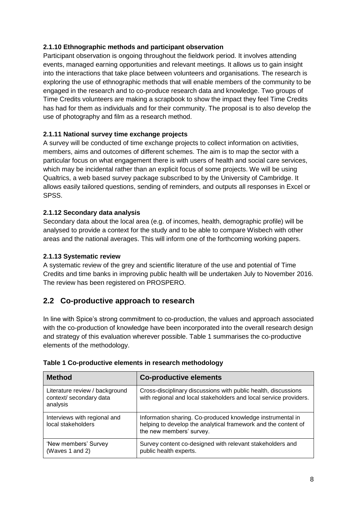## **2.1.10 Ethnographic methods and participant observation**

Participant observation is ongoing throughout the fieldwork period. It involves attending events, managed earning opportunities and relevant meetings. It allows us to gain insight into the interactions that take place between volunteers and organisations. The research is exploring the use of ethnographic methods that will enable members of the community to be engaged in the research and to co-produce research data and knowledge. Two groups of Time Credits volunteers are making a scrapbook to show the impact they feel Time Credits has had for them as individuals and for their community. The proposal is to also develop the use of photography and film as a research method.

## **2.1.11 National survey time exchange projects**

A survey will be conducted of time exchange projects to collect information on activities, members, aims and outcomes of different schemes. The aim is to map the sector with a particular focus on what engagement there is with users of health and social care services, which may be incidental rather than an explicit focus of some projects. We will be using Qualtrics, a web based survey package subscribed to by the University of Cambridge. It allows easily tailored questions, sending of reminders, and outputs all responses in Excel or SPSS.

## **2.1.12 Secondary data analysis**

Secondary data about the local area (e.g. of incomes, health, demographic profile) will be analysed to provide a context for the study and to be able to compare Wisbech with other areas and the national averages. This will inform one of the forthcoming working papers.

### **2.1.13 Systematic review**

A systematic review of the grey and scientific literature of the use and potential of Time Credits and time banks in improving public health will be undertaken July to November 2016. The review has been registered on PROSPERO.

## <span id="page-7-0"></span>**2.2 Co-productive approach to research**

In line with Spice's strong commitment to co-production, the values and approach associated with the co-production of knowledge have been incorporated into the overall research design and strategy of this evaluation wherever possible. Table 1 summarises the co-productive elements of the methodology.

| <b>Method</b>                                                         | <b>Co-productive elements</b>                                                                                                                            |
|-----------------------------------------------------------------------|----------------------------------------------------------------------------------------------------------------------------------------------------------|
| Literature review / background<br>context/ secondary data<br>analysis | Cross-disciplinary discussions with public health, discussions<br>with regional and local stakeholders and local service providers.                      |
| Interviews with regional and<br>local stakeholders                    | Information sharing. Co-produced knowledge instrumental in<br>helping to develop the analytical framework and the content of<br>the new members' survey. |
| 'New members' Survey<br>(Waves 1 and 2)                               | Survey content co-designed with relevant stakeholders and<br>public health experts.                                                                      |

|  | Table 1 Co-productive elements in research methodology |  |  |  |
|--|--------------------------------------------------------|--|--|--|
|--|--------------------------------------------------------|--|--|--|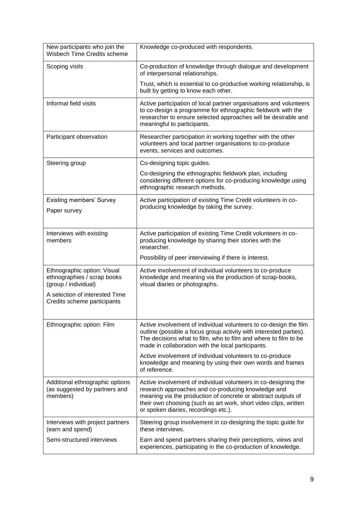| New participants who join the<br>Wisbech Time Credits scheme                       | Knowledge co-produced with respondents.                                                                                                                                                                                                                                                            |
|------------------------------------------------------------------------------------|----------------------------------------------------------------------------------------------------------------------------------------------------------------------------------------------------------------------------------------------------------------------------------------------------|
| Scoping visits                                                                     | Co-production of knowledge through dialogue and development<br>of interpersonal relationships.                                                                                                                                                                                                     |
|                                                                                    | Trust, which is essential to co-productive working relationship, is<br>built by getting to know each other.                                                                                                                                                                                        |
| Informal field visits                                                              | Active participation of local partner organisations and volunteers<br>to co-design a programme for ethnographic fieldwork with the<br>researcher to ensure selected approaches will be desirable and<br>meaningful to participants.                                                                |
| Participant observation                                                            | Researcher participation in working together with the other<br>volunteers and local partner organisations to co-produce<br>events, services and outcomes.                                                                                                                                          |
| Steering group                                                                     | Co-designing topic guides.                                                                                                                                                                                                                                                                         |
|                                                                                    | Co-designing the ethnographic fieldwork plan, including<br>considering different options for co-producing knowledge using<br>ethnographic research methods.                                                                                                                                        |
| <b>Existing members' Survey</b>                                                    | Active participation of existing Time Credit volunteers in co-                                                                                                                                                                                                                                     |
| Paper survey                                                                       | producing knowledge by taking the survey.                                                                                                                                                                                                                                                          |
| Interviews with existing<br>members                                                | Active participation of existing Time Credit volunteers in co-<br>producing knowledge by sharing their stories with the<br>researcher.                                                                                                                                                             |
|                                                                                    | Possibility of peer interviewing if there is interest.                                                                                                                                                                                                                                             |
| Ethnographic option: Visual<br>ethnographies / scrap books<br>(group / individual) | Active involvement of individual volunteers to co-produce<br>knowledge and meaning via the production of scrap-books,<br>visual diaries or photographs.                                                                                                                                            |
| A selection of interested Time<br>Credits scheme participants                      |                                                                                                                                                                                                                                                                                                    |
| Ethnographic option: Film                                                          | Active involvement of individual volunteers to co-design the film<br>outline (possible a focus group activity with interested parties).<br>The decisions what to film, who to film and where to film to be<br>made in collaboration with the local participants.                                   |
|                                                                                    | Active involvement of individual volunteers to co-produce<br>knowledge and meaning by using their own words and frames<br>of reference.                                                                                                                                                            |
| Additional ethnographic options<br>(as suggested by partners and<br>members)       | Active involvement of individual volunteers in co-designing the<br>research approaches and co-producing knowledge and<br>meaning via the production of concrete or abstract outputs of<br>their own choosing (such as art work, short video clips, written<br>or spoken diaries, recordings etc.). |
| Interviews with project partners<br>(earn and spend)                               | Steering group involvement in co-designing the topic guide for<br>these interviews.                                                                                                                                                                                                                |
| Semi-structured interviews                                                         | Earn and spend partners sharing their perceptions, views and<br>experiences, participating in the co-production of knowledge.                                                                                                                                                                      |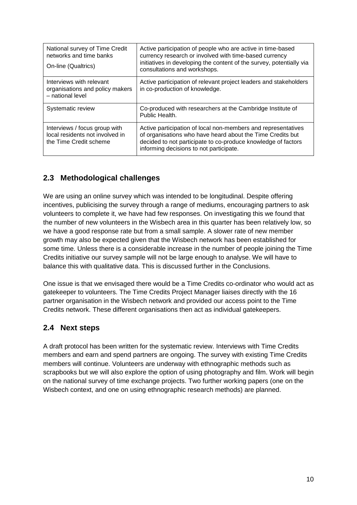| National survey of Time Credit<br>networks and time banks<br>On-line (Qualtrics)           | Active participation of people who are active in time-based<br>currency research or involved with time-based currency<br>initiatives in developing the content of the survey, potentially via<br>consultations and workshops.           |
|--------------------------------------------------------------------------------------------|-----------------------------------------------------------------------------------------------------------------------------------------------------------------------------------------------------------------------------------------|
| Interviews with relevant<br>organisations and policy makers<br>- national level            | Active participation of relevant project leaders and stakeholders<br>in co-production of knowledge.                                                                                                                                     |
| Systematic review                                                                          | Co-produced with researchers at the Cambridge Institute of<br>Public Health.                                                                                                                                                            |
| Interviews / focus group with<br>local residents not involved in<br>the Time Credit scheme | Active participation of local non-members and representatives<br>of organisations who have heard about the Time Credits but<br>decided to not participate to co-produce knowledge of factors<br>informing decisions to not participate. |

## <span id="page-9-0"></span>**2.3 Methodological challenges**

We are using an online survey which was intended to be longitudinal. Despite offering incentives, publicising the survey through a range of mediums, encouraging partners to ask volunteers to complete it, we have had few responses. On investigating this we found that the number of new volunteers in the Wisbech area in this quarter has been relatively low, so we have a good response rate but from a small sample. A slower rate of new member growth may also be expected given that the Wisbech network has been established for some time. Unless there is a considerable increase in the number of people joining the Time Credits initiative our survey sample will not be large enough to analyse. We will have to balance this with qualitative data. This is discussed further in the Conclusions.

One issue is that we envisaged there would be a Time Credits co-ordinator who would act as gatekeeper to volunteers. The Time Credits Project Manager liaises directly with the 16 partner organisation in the Wisbech network and provided our access point to the Time Credits network. These different organisations then act as individual gatekeepers.

## <span id="page-9-1"></span>**2.4 Next steps**

A draft protocol has been written for the systematic review. Interviews with Time Credits members and earn and spend partners are ongoing. The survey with existing Time Credits members will continue. Volunteers are underway with ethnographic methods such as scrapbooks but we will also explore the option of using photography and film. Work will begin on the national survey of time exchange projects. Two further working papers (one on the Wisbech context, and one on using ethnographic research methods) are planned.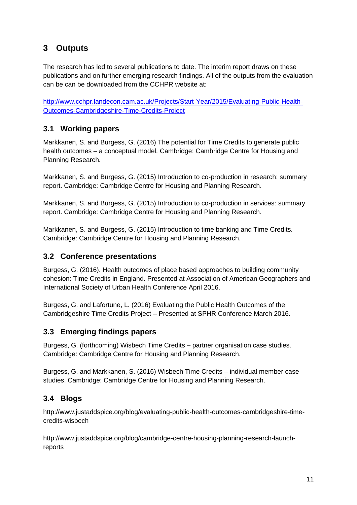# <span id="page-10-0"></span>**3 Outputs**

The research has led to several publications to date. The interim report draws on these publications and on further emerging research findings. All of the outputs from the evaluation can be can be downloaded from the CCHPR website at:

[http://www.cchpr.landecon.cam.ac.uk/Projects/Start-Year/2015/Evaluating-Public-Health-](http://www.cchpr.landecon.cam.ac.uk/Projects/Start-Year/2015/Evaluating-Public-Health-Outcomes-Cambridgeshire-Time-Credits-Project)[Outcomes-Cambridgeshire-Time-Credits-Project](http://www.cchpr.landecon.cam.ac.uk/Projects/Start-Year/2015/Evaluating-Public-Health-Outcomes-Cambridgeshire-Time-Credits-Project)

## <span id="page-10-1"></span>**3.1 Working papers**

Markkanen, S. and Burgess, G. (2016) The potential for Time Credits to generate public health outcomes – a conceptual model. Cambridge: Cambridge Centre for Housing and Planning Research.

Markkanen, S. and Burgess, G. (2015) Introduction to co-production in research: summary report. Cambridge: Cambridge Centre for Housing and Planning Research.

Markkanen, S. and Burgess, G. (2015) Introduction to co-production in services: summary report. Cambridge: Cambridge Centre for Housing and Planning Research.

Markkanen, S. and Burgess, G. (2015) Introduction to time banking and Time Credits. Cambridge: Cambridge Centre for Housing and Planning Research.

## <span id="page-10-2"></span>**3.2 Conference presentations**

Burgess, G. (2016). Health outcomes of place based approaches to building community cohesion: Time Credits in England. Presented at Association of American Geographers and International Society of Urban Health Conference April 2016.

Burgess, G. and Lafortune, L. (2016) Evaluating the Public Health Outcomes of the Cambridgeshire Time Credits Project – Presented at SPHR Conference March 2016.

## <span id="page-10-3"></span>**3.3 Emerging findings papers**

Burgess, G. (forthcoming) Wisbech Time Credits – partner organisation case studies. Cambridge: Cambridge Centre for Housing and Planning Research.

Burgess, G. and Markkanen, S. (2016) Wisbech Time Credits – individual member case studies. Cambridge: Cambridge Centre for Housing and Planning Research.

## <span id="page-10-4"></span>**3.4 Blogs**

http://www.justaddspice.org/blog/evaluating-public-health-outcomes-cambridgeshire-timecredits-wisbech

http://www.justaddspice.org/blog/cambridge-centre-housing-planning-research-launchreports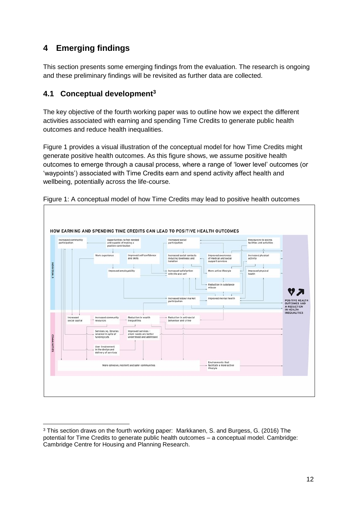# <span id="page-11-0"></span>**4 Emerging findings**

<u>.</u>

This section presents some emerging findings from the evaluation. The research is ongoing and these preliminary findings will be revisited as further data are collected.

## <span id="page-11-1"></span>**4.1 Conceptual development<sup>3</sup>**

The key objective of the fourth working paper was to outline how we expect the different activities associated with earning and spending Time Credits to generate public health outcomes and reduce health inequalities.

Figure 1 provides a visual illustration of the conceptual model for how Time Credits might generate positive health outcomes. As this figure shows, we assume positive health outcomes to emerge through a causal process, where a range of 'lower level' outcomes (or 'waypoints') associated with Time Credits earn and spend activity affect health and wellbeing, potentially across the life-course.



Figure 1: A conceptual model of how Time Credits may lead to positive health outcomes

<sup>3</sup> This section draws on the fourth working paper: Markkanen, S. and Burgess, G. (2016) The potential for Time Credits to generate public health outcomes – a conceptual model. Cambridge: Cambridge Centre for Housing and Planning Research.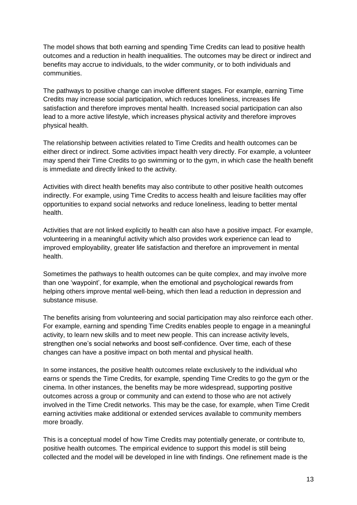The model shows that both earning and spending Time Credits can lead to positive health outcomes and a reduction in health inequalities. The outcomes may be direct or indirect and benefits may accrue to individuals, to the wider community, or to both individuals and communities.

The pathways to positive change can involve different stages. For example, earning Time Credits may increase social participation, which reduces loneliness, increases life satisfaction and therefore improves mental health. Increased social participation can also lead to a more active lifestyle, which increases physical activity and therefore improves physical health.

The relationship between activities related to Time Credits and health outcomes can be either direct or indirect. Some activities impact health very directly. For example, a volunteer may spend their Time Credits to go swimming or to the gym, in which case the health benefit is immediate and directly linked to the activity.

Activities with direct health benefits may also contribute to other positive health outcomes indirectly. For example, using Time Credits to access health and leisure facilities may offer opportunities to expand social networks and reduce loneliness, leading to better mental health.

Activities that are not linked explicitly to health can also have a positive impact. For example, volunteering in a meaningful activity which also provides work experience can lead to improved employability, greater life satisfaction and therefore an improvement in mental health.

Sometimes the pathways to health outcomes can be quite complex, and may involve more than one 'waypoint', for example, when the emotional and psychological rewards from helping others improve mental well-being, which then lead a reduction in depression and substance misuse.

The benefits arising from volunteering and social participation may also reinforce each other. For example, earning and spending Time Credits enables people to engage in a meaningful activity, to learn new skills and to meet new people. This can increase activity levels, strengthen one's social networks and boost self-confidence. Over time, each of these changes can have a positive impact on both mental and physical health.

In some instances, the positive health outcomes relate exclusively to the individual who earns or spends the Time Credits, for example, spending Time Credits to go the gym or the cinema. In other instances, the benefits may be more widespread, supporting positive outcomes across a group or community and can extend to those who are not actively involved in the Time Credit networks. This may be the case, for example, when Time Credit earning activities make additional or extended services available to community members more broadly.

This is a conceptual model of how Time Credits may potentially generate, or contribute to, positive health outcomes. The empirical evidence to support this model is still being collected and the model will be developed in line with findings. One refinement made is the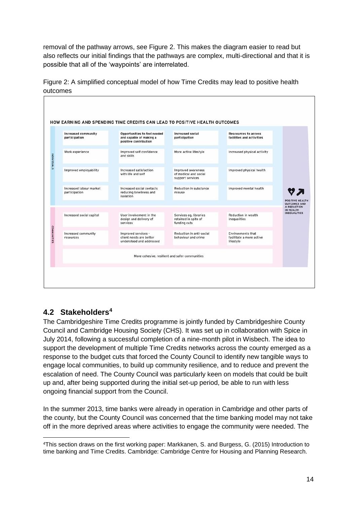removal of the pathway arrows, see Figure 2. This makes the diagram easier to read but also reflects our initial findings that the pathways are complex, multi-directional and that it is possible that all of the 'waypoints' are interrelated.

| <b>Increased community</b><br>participation | Opportunities to feel needed<br>and capable of making a<br>positive contribution | <b>Increased social</b><br>participation                        | <b>Rescources to access</b><br>facilities and activities          |                                                              |
|---------------------------------------------|----------------------------------------------------------------------------------|-----------------------------------------------------------------|-------------------------------------------------------------------|--------------------------------------------------------------|
| Work experience                             | Improved self confidence<br>and skills                                           | More active lifestyle                                           | Increased physical activity                                       |                                                              |
| Improved employability                      | Increased satisfaction<br>with life and self                                     | Improved awareness<br>of medical and social<br>support services | Improved physical health                                          |                                                              |
| Increased labour market<br>participation    | Increased social contacts<br>reducing loneliness and<br>isolation                | Reduction in substance<br>misuse                                | Improved mental health                                            |                                                              |
|                                             |                                                                                  |                                                                 |                                                                   | <b>POSITIVE HEALTH</b><br><b>OUTCOMES AND</b><br>A REDUCTION |
| Increased social capital                    | User involvement in the<br>design and delivery of<br>services                    | Services eg. libraries<br>retained in spite of<br>funding cuts  | Reduction in wealth<br>inequalities                               | IN HEALTH<br><b>INEQUALITIES</b>                             |
| Increased community<br>resources            | Improved services -<br>client needs are better<br>understood and addressed       | Reduction in anti-social<br>behaviour and crime                 | <b>Environments that</b><br>facilitate a more active<br>lifestyle |                                                              |
|                                             |                                                                                  | More cohesive, resilient and safer communities                  |                                                                   |                                                              |

Figure 2: A simplified conceptual model of how Time Credits may lead to positive health outcomes

## <span id="page-13-0"></span>**4.2 Stakeholders<sup>4</sup>**

<u>.</u>

The Cambridgeshire Time Credits programme is jointly funded by Cambridgeshire County Council and Cambridge Housing Society (CHS). It was set up in collaboration with Spice in July 2014, following a successful completion of a nine-month pilot in Wisbech. The idea to support the development of multiple Time Credits networks across the county emerged as a response to the budget cuts that forced the County Council to identify new tangible ways to engage local communities, to build up community resilience, and to reduce and prevent the escalation of need. The County Council was particularly keen on models that could be built up and, after being supported during the initial set-up period, be able to run with less ongoing financial support from the Council.

In the summer 2013, time banks were already in operation in Cambridge and other parts of the county, but the County Council was concerned that the time banking model may not take off in the more deprived areas where activities to engage the community were needed. The

<sup>4</sup>This section draws on the first working paper: Markkanen, S. and Burgess, G. (2015) Introduction to time banking and Time Credits. Cambridge: Cambridge Centre for Housing and Planning Research.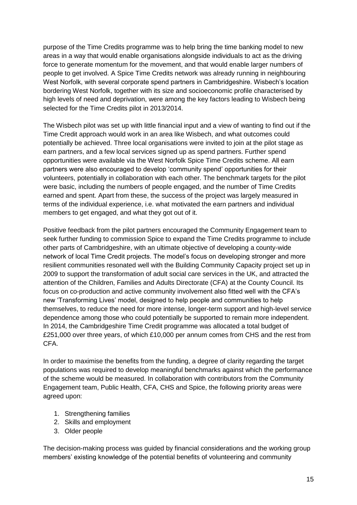purpose of the Time Credits programme was to help bring the time banking model to new areas in a way that would enable organisations alongside individuals to act as the driving force to generate momentum for the movement, and that would enable larger numbers of people to get involved. A Spice Time Credits network was already running in neighbouring West Norfolk, with several corporate spend partners in Cambridgeshire. Wisbech's location bordering West Norfolk, together with its size and socioeconomic profile characterised by high levels of need and deprivation, were among the key factors leading to Wisbech being selected for the Time Credits pilot in 2013/2014.

The Wisbech pilot was set up with little financial input and a view of wanting to find out if the Time Credit approach would work in an area like Wisbech, and what outcomes could potentially be achieved. Three local organisations were invited to join at the pilot stage as earn partners, and a few local services signed up as spend partners. Further spend opportunities were available via the West Norfolk Spice Time Credits scheme. All earn partners were also encouraged to develop 'community spend' opportunities for their volunteers, potentially in collaboration with each other. The benchmark targets for the pilot were basic, including the numbers of people engaged, and the number of Time Credits earned and spent. Apart from these, the success of the project was largely measured in terms of the individual experience, i.e. what motivated the earn partners and individual members to get engaged, and what they got out of it.

Positive feedback from the pilot partners encouraged the Community Engagement team to seek further funding to commission Spice to expand the Time Credits programme to include other parts of Cambridgeshire, with an ultimate objective of developing a county-wide network of local Time Credit projects. The model's focus on developing stronger and more resilient communities resonated well with the Building Community Capacity project set up in 2009 to support the transformation of adult social care services in the UK, and attracted the attention of the Children, Families and Adults Directorate (CFA) at the County Council. Its focus on co-production and active community involvement also fitted well with the CFA's new 'Transforming Lives' model, designed to help people and communities to help themselves, to reduce the need for more intense, longer-term support and high-level service dependence among those who could potentially be supported to remain more independent. In 2014, the Cambridgeshire Time Credit programme was allocated a total budget of £251,000 over three years, of which £10,000 per annum comes from CHS and the rest from CFA.

In order to maximise the benefits from the funding, a degree of clarity regarding the target populations was required to develop meaningful benchmarks against which the performance of the scheme would be measured. In collaboration with contributors from the Community Engagement team, Public Health, CFA, CHS and Spice, the following priority areas were agreed upon:

- 1. Strengthening families
- 2. Skills and employment
- 3. Older people

The decision-making process was guided by financial considerations and the working group members' existing knowledge of the potential benefits of volunteering and community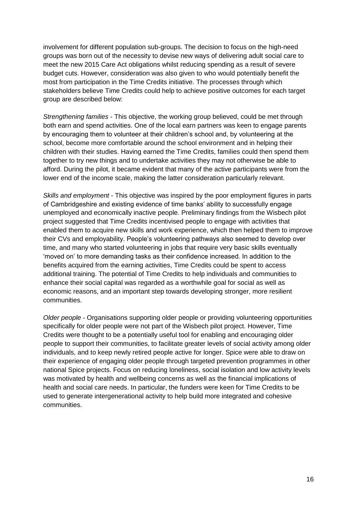involvement for different population sub-groups. The decision to focus on the high-need groups was born out of the necessity to devise new ways of delivering adult social care to meet the new 2015 Care Act obligations whilst reducing spending as a result of severe budget cuts. However, consideration was also given to who would potentially benefit the most from participation in the Time Credits initiative. The processes through which stakeholders believe Time Credits could help to achieve positive outcomes for each target group are described below:

*Strengthening families* - This objective, the working group believed, could be met through both earn and spend activities. One of the local earn partners was keen to engage parents by encouraging them to volunteer at their children's school and, by volunteering at the school, become more comfortable around the school environment and in helping their children with their studies. Having earned the Time Credits, families could then spend them together to try new things and to undertake activities they may not otherwise be able to afford. During the pilot, it became evident that many of the active participants were from the lower end of the income scale, making the latter consideration particularly relevant.

*Skills and employment* - This objective was inspired by the poor employment figures in parts of Cambridgeshire and existing evidence of time banks' ability to successfully engage unemployed and economically inactive people. Preliminary findings from the Wisbech pilot project suggested that Time Credits incentivised people to engage with activities that enabled them to acquire new skills and work experience, which then helped them to improve their CVs and employability. People's volunteering pathways also seemed to develop over time, and many who started volunteering in jobs that require very basic skills eventually 'moved on' to more demanding tasks as their confidence increased. In addition to the benefits acquired from the earning activities, Time Credits could be spent to access additional training. The potential of Time Credits to help individuals and communities to enhance their social capital was regarded as a worthwhile goal for social as well as economic reasons, and an important step towards developing stronger, more resilient communities.

*Older people -* Organisations supporting older people or providing volunteering opportunities specifically for older people were not part of the Wisbech pilot project. However, Time Credits were thought to be a potentially useful tool for enabling and encouraging older people to support their communities, to facilitate greater levels of social activity among older individuals, and to keep newly retired people active for longer. Spice were able to draw on their experience of engaging older people through targeted prevention programmes in other national Spice projects. Focus on reducing loneliness, social isolation and low activity levels was motivated by health and wellbeing concerns as well as the financial implications of health and social care needs. In particular, the funders were keen for Time Credits to be used to generate intergenerational activity to help build more integrated and cohesive communities.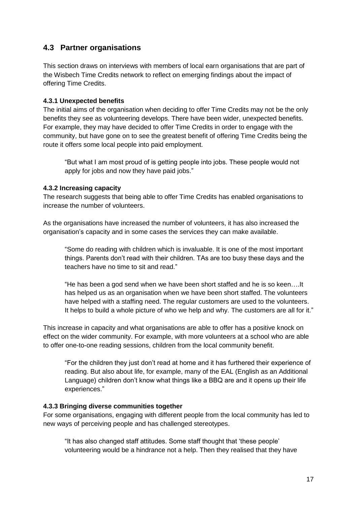## <span id="page-16-0"></span>**4.3 Partner organisations**

This section draws on interviews with members of local earn organisations that are part of the Wisbech Time Credits network to reflect on emerging findings about the impact of offering Time Credits.

### **4.3.1 Unexpected benefits**

The initial aims of the organisation when deciding to offer Time Credits may not be the only benefits they see as volunteering develops. There have been wider, unexpected benefits. For example, they may have decided to offer Time Credits in order to engage with the community, but have gone on to see the greatest benefit of offering Time Credits being the route it offers some local people into paid employment.

"But what I am most proud of is getting people into jobs. These people would not apply for jobs and now they have paid jobs."

#### **4.3.2 Increasing capacity**

The research suggests that being able to offer Time Credits has enabled organisations to increase the number of volunteers.

As the organisations have increased the number of volunteers, it has also increased the organisation's capacity and in some cases the services they can make available.

"Some do reading with children which is invaluable. It is one of the most important things. Parents don't read with their children. TAs are too busy these days and the teachers have no time to sit and read."

"He has been a god send when we have been short staffed and he is so keen….It has helped us as an organisation when we have been short staffed. The volunteers have helped with a staffing need. The regular customers are used to the volunteers. It helps to build a whole picture of who we help and why. The customers are all for it."

This increase in capacity and what organisations are able to offer has a positive knock on effect on the wider community. For example, with more volunteers at a school who are able to offer one-to-one reading sessions, children from the local community benefit.

"For the children they just don't read at home and it has furthered their experience of reading. But also about life, for example, many of the EAL (English as an Additional Language) children don't know what things like a BBQ are and it opens up their life experiences."

#### **4.3.3 Bringing diverse communities together**

For some organisations, engaging with different people from the local community has led to new ways of perceiving people and has challenged stereotypes.

"It has also changed staff attitudes. Some staff thought that 'these people' volunteering would be a hindrance not a help. Then they realised that they have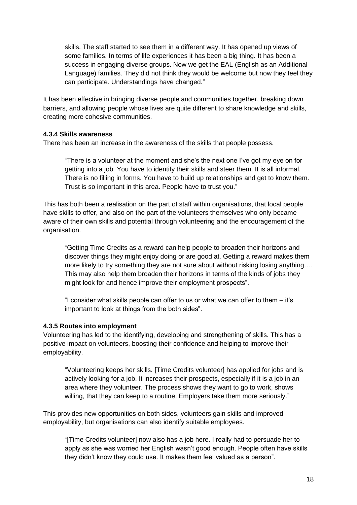skills. The staff started to see them in a different way. It has opened up views of some families. In terms of life experiences it has been a big thing. It has been a success in engaging diverse groups. Now we get the EAL (English as an Additional Language) families. They did not think they would be welcome but now they feel they can participate. Understandings have changed."

It has been effective in bringing diverse people and communities together, breaking down barriers, and allowing people whose lives are quite different to share knowledge and skills, creating more cohesive communities.

#### **4.3.4 Skills awareness**

There has been an increase in the awareness of the skills that people possess.

"There is a volunteer at the moment and she's the next one I've got my eye on for getting into a job. You have to identify their skills and steer them. It is all informal. There is no filling in forms. You have to build up relationships and get to know them. Trust is so important in this area. People have to trust you."

This has both been a realisation on the part of staff within organisations, that local people have skills to offer, and also on the part of the volunteers themselves who only became aware of their own skills and potential through volunteering and the encouragement of the organisation.

"Getting Time Credits as a reward can help people to broaden their horizons and discover things they might enjoy doing or are good at. Getting a reward makes them more likely to try something they are not sure about without risking losing anything…. This may also help them broaden their horizons in terms of the kinds of jobs they might look for and hence improve their employment prospects".

"I consider what skills people can offer to us or what we can offer to them – it's important to look at things from the both sides".

### **4.3.5 Routes into employment**

Volunteering has led to the identifying, developing and strengthening of skills. This has a positive impact on volunteers, boosting their confidence and helping to improve their employability.

"Volunteering keeps her skills. [Time Credits volunteer] has applied for jobs and is actively looking for a job. It increases their prospects, especially if it is a job in an area where they volunteer. The process shows they want to go to work, shows willing, that they can keep to a routine. Employers take them more seriously."

This provides new opportunities on both sides, volunteers gain skills and improved employability, but organisations can also identify suitable employees.

"[Time Credits volunteer] now also has a job here. I really had to persuade her to apply as she was worried her English wasn't good enough. People often have skills they didn't know they could use. It makes them feel valued as a person".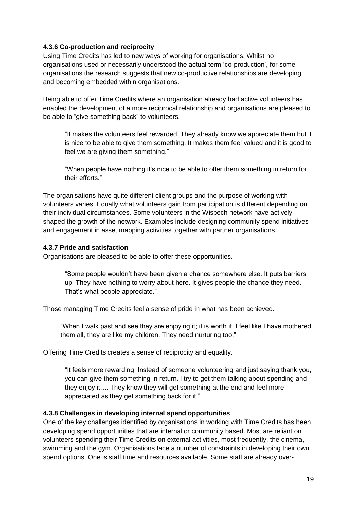#### **4.3.6 Co-production and reciprocity**

Using Time Credits has led to new ways of working for organisations. Whilst no organisations used or necessarily understood the actual term 'co-production', for some organisations the research suggests that new co-productive relationships are developing and becoming embedded within organisations.

Being able to offer Time Credits where an organisation already had active volunteers has enabled the development of a more reciprocal relationship and organisations are pleased to be able to "give something back" to volunteers.

"It makes the volunteers feel rewarded. They already know we appreciate them but it is nice to be able to give them something. It makes them feel valued and it is good to feel we are giving them something."

"When people have nothing it's nice to be able to offer them something in return for their efforts."

The organisations have quite different client groups and the purpose of working with volunteers varies. Equally what volunteers gain from participation is different depending on their individual circumstances. Some volunteers in the Wisbech network have actively shaped the growth of the network. Examples include designing community spend initiatives and engagement in asset mapping activities together with partner organisations.

#### **4.3.7 Pride and satisfaction**

Organisations are pleased to be able to offer these opportunities.

"Some people wouldn't have been given a chance somewhere else. It puts barriers up. They have nothing to worry about here. It gives people the chance they need. That's what people appreciate."

Those managing Time Credits feel a sense of pride in what has been achieved.

"When I walk past and see they are enjoying it; it is worth it. I feel like I have mothered them all, they are like my children. They need nurturing too."

Offering Time Credits creates a sense of reciprocity and equality.

"It feels more rewarding. Instead of someone volunteering and just saying thank you, you can give them something in return. I try to get them talking about spending and they enjoy it…. They know they will get something at the end and feel more appreciated as they get something back for it."

### **4.3.8 Challenges in developing internal spend opportunities**

One of the key challenges identified by organisations in working with Time Credits has been developing spend opportunities that are internal or community based. Most are reliant on volunteers spending their Time Credits on external activities, most frequently, the cinema, swimming and the gym. Organisations face a number of constraints in developing their own spend options. One is staff time and resources available. Some staff are already over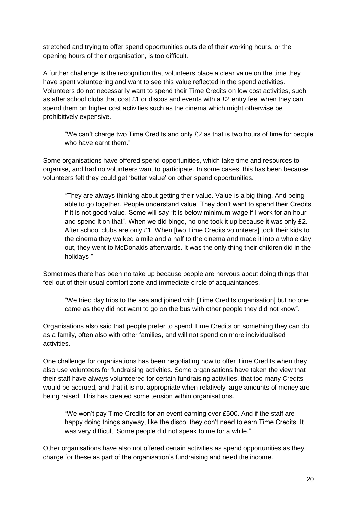stretched and trying to offer spend opportunities outside of their working hours, or the opening hours of their organisation, is too difficult.

A further challenge is the recognition that volunteers place a clear value on the time they have spent volunteering and want to see this value reflected in the spend activities. Volunteers do not necessarily want to spend their Time Credits on low cost activities, such as after school clubs that cost £1 or discos and events with a £2 entry fee, when they can spend them on higher cost activities such as the cinema which might otherwise be prohibitively expensive.

"We can't charge two Time Credits and only £2 as that is two hours of time for people who have earnt them."

Some organisations have offered spend opportunities, which take time and resources to organise, and had no volunteers want to participate. In some cases, this has been because volunteers felt they could get 'better value' on other spend opportunities.

"They are always thinking about getting their value. Value is a big thing. And being able to go together. People understand value. They don't want to spend their Credits if it is not good value. Some will say "it is below minimum wage if I work for an hour and spend it on that". When we did bingo, no one took it up because it was only £2. After school clubs are only £1. When [two Time Credits volunteers] took their kids to the cinema they walked a mile and a half to the cinema and made it into a whole day out, they went to McDonalds afterwards. It was the only thing their children did in the holidays."

Sometimes there has been no take up because people are nervous about doing things that feel out of their usual comfort zone and immediate circle of acquaintances.

"We tried day trips to the sea and joined with [Time Credits organisation] but no one came as they did not want to go on the bus with other people they did not know".

Organisations also said that people prefer to spend Time Credits on something they can do as a family, often also with other families, and will not spend on more individualised activities.

One challenge for organisations has been negotiating how to offer Time Credits when they also use volunteers for fundraising activities. Some organisations have taken the view that their staff have always volunteered for certain fundraising activities, that too many Credits would be accrued, and that it is not appropriate when relatively large amounts of money are being raised. This has created some tension within organisations.

"We won't pay Time Credits for an event earning over £500. And if the staff are happy doing things anyway, like the disco, they don't need to earn Time Credits. It was very difficult. Some people did not speak to me for a while."

Other organisations have also not offered certain activities as spend opportunities as they charge for these as part of the organisation's fundraising and need the income.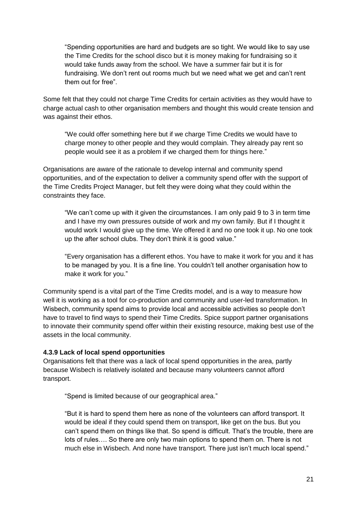"Spending opportunities are hard and budgets are so tight. We would like to say use the Time Credits for the school disco but it is money making for fundraising so it would take funds away from the school. We have a summer fair but it is for fundraising. We don't rent out rooms much but we need what we get and can't rent them out for free".

Some felt that they could not charge Time Credits for certain activities as they would have to charge actual cash to other organisation members and thought this would create tension and was against their ethos.

"We could offer something here but if we charge Time Credits we would have to charge money to other people and they would complain. They already pay rent so people would see it as a problem if we charged them for things here."

Organisations are aware of the rationale to develop internal and community spend opportunities, and of the expectation to deliver a community spend offer with the support of the Time Credits Project Manager, but felt they were doing what they could within the constraints they face.

"We can't come up with it given the circumstances. I am only paid 9 to 3 in term time and I have my own pressures outside of work and my own family. But if I thought it would work I would give up the time. We offered it and no one took it up. No one took up the after school clubs. They don't think it is good value."

"Every organisation has a different ethos. You have to make it work for you and it has to be managed by you. It is a fine line. You couldn't tell another organisation how to make it work for you."

Community spend is a vital part of the Time Credits model, and is a way to measure how well it is working as a tool for co-production and community and user-led transformation. In Wisbech, community spend aims to provide local and accessible activities so people don't have to travel to find ways to spend their Time Credits. Spice support partner organisations to innovate their community spend offer within their existing resource, making best use of the assets in the local community.

#### **4.3.9 Lack of local spend opportunities**

Organisations felt that there was a lack of local spend opportunities in the area, partly because Wisbech is relatively isolated and because many volunteers cannot afford transport.

"Spend is limited because of our geographical area."

"But it is hard to spend them here as none of the volunteers can afford transport. It would be ideal if they could spend them on transport, like get on the bus. But you can't spend them on things like that. So spend is difficult. That's the trouble, there are lots of rules…. So there are only two main options to spend them on. There is not much else in Wisbech. And none have transport. There just isn't much local spend."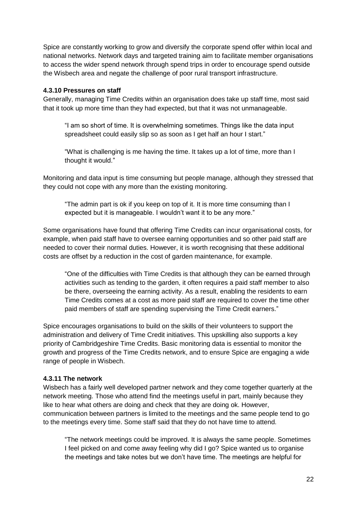Spice are constantly working to grow and diversify the corporate spend offer within local and national networks. Network days and targeted training aim to facilitate member organisations to access the wider spend network through spend trips in order to encourage spend outside the Wisbech area and negate the challenge of poor rural transport infrastructure.

#### **4.3.10 Pressures on staff**

Generally, managing Time Credits within an organisation does take up staff time, most said that it took up more time than they had expected, but that it was not unmanageable.

"I am so short of time. It is overwhelming sometimes. Things like the data input spreadsheet could easily slip so as soon as I get half an hour I start."

"What is challenging is me having the time. It takes up a lot of time, more than I thought it would."

Monitoring and data input is time consuming but people manage, although they stressed that they could not cope with any more than the existing monitoring.

"The admin part is ok if you keep on top of it. It is more time consuming than I expected but it is manageable. I wouldn't want it to be any more."

Some organisations have found that offering Time Credits can incur organisational costs, for example, when paid staff have to oversee earning opportunities and so other paid staff are needed to cover their normal duties. However, it is worth recognising that these additional costs are offset by a reduction in the cost of garden maintenance, for example.

"One of the difficulties with Time Credits is that although they can be earned through activities such as tending to the garden, it often requires a paid staff member to also be there, overseeing the earning activity. As a result, enabling the residents to earn Time Credits comes at a cost as more paid staff are required to cover the time other paid members of staff are spending supervising the Time Credit earners."

Spice encourages organisations to build on the skills of their volunteers to support the administration and delivery of Time Credit initiatives. This upskilling also supports a key priority of Cambridgeshire Time Credits. Basic monitoring data is essential to monitor the growth and progress of the Time Credits network, and to ensure Spice are engaging a wide range of people in Wisbech.

### **4.3.11 The network**

Wisbech has a fairly well developed partner network and they come together quarterly at the network meeting. Those who attend find the meetings useful in part, mainly because they like to hear what others are doing and check that they are doing ok. However, communication between partners is limited to the meetings and the same people tend to go to the meetings every time. Some staff said that they do not have time to attend.

"The network meetings could be improved. It is always the same people. Sometimes I feel picked on and come away feeling why did I go? Spice wanted us to organise the meetings and take notes but we don't have time. The meetings are helpful for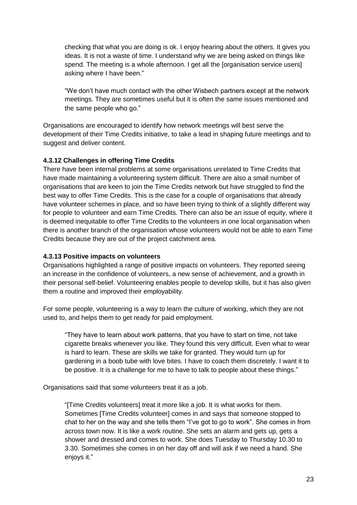checking that what you are doing is ok. I enjoy hearing about the others. It gives you ideas. It is not a waste of time. I understand why we are being asked on things like spend. The meeting is a whole afternoon. I get all the [organisation service users] asking where I have been."

"We don't have much contact with the other Wisbech partners except at the network meetings. They are sometimes useful but it is often the same issues mentioned and the same people who go."

Organisations are encouraged to identify how network meetings will best serve the development of their Time Credits initiative, to take a lead in shaping future meetings and to suggest and deliver content.

### **4.3.12 Challenges in offering Time Credits**

There have been internal problems at some organisations unrelated to Time Credits that have made maintaining a volunteering system difficult. There are also a small number of organisations that are keen to join the Time Credits network but have struggled to find the best way to offer Time Credits. This is the case for a couple of organisations that already have volunteer schemes in place, and so have been trying to think of a slightly different way for people to volunteer and earn Time Credits. There can also be an issue of equity, where it is deemed inequitable to offer Time Credits to the volunteers in one local organisation when there is another branch of the organisation whose volunteers would not be able to earn Time Credits because they are out of the project catchment area.

#### **4.3.13 Positive impacts on volunteers**

Organisations highlighted a range of positive impacts on volunteers. They reported seeing an increase in the confidence of volunteers, a new sense of achievement, and a growth in their personal self-belief. Volunteering enables people to develop skills, but it has also given them a routine and improved their employability.

For some people, volunteering is a way to learn the culture of working, which they are not used to, and helps them to get ready for paid employment.

"They have to learn about work patterns, that you have to start on time, not take cigarette breaks whenever you like. They found this very difficult. Even what to wear is hard to learn. These are skills we take for granted. They would turn up for gardening in a boob tube with love bites. I have to coach them discretely. I want it to be positive. It is a challenge for me to have to talk to people about these things."

Organisations said that some volunteers treat it as a job.

"[Time Credits volunteers] treat it more like a job. It is what works for them. Sometimes [Time Credits volunteer] comes in and says that someone stopped to chat to her on the way and she tells them "I've got to go to work". She comes in from across town now. It is like a work routine. She sets an alarm and gets up, gets a shower and dressed and comes to work. She does Tuesday to Thursday 10.30 to 3.30. Sometimes she comes in on her day off and will ask if we need a hand. She enjoys it."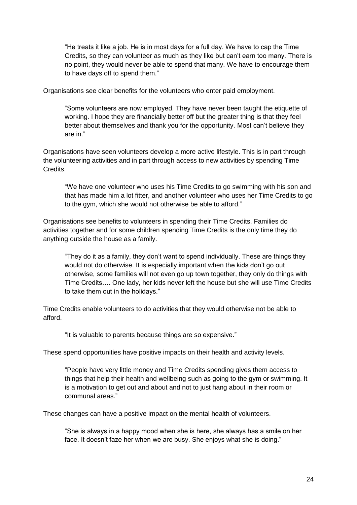"He treats it like a job. He is in most days for a full day. We have to cap the Time Credits, so they can volunteer as much as they like but can't earn too many. There is no point, they would never be able to spend that many. We have to encourage them to have days off to spend them."

Organisations see clear benefits for the volunteers who enter paid employment.

"Some volunteers are now employed. They have never been taught the etiquette of working. I hope they are financially better off but the greater thing is that they feel better about themselves and thank you for the opportunity. Most can't believe they are in."

Organisations have seen volunteers develop a more active lifestyle. This is in part through the volunteering activities and in part through access to new activities by spending Time **Credits** 

"We have one volunteer who uses his Time Credits to go swimming with his son and that has made him a lot fitter, and another volunteer who uses her Time Credits to go to the gym, which she would not otherwise be able to afford."

Organisations see benefits to volunteers in spending their Time Credits. Families do activities together and for some children spending Time Credits is the only time they do anything outside the house as a family.

"They do it as a family, they don't want to spend individually. These are things they would not do otherwise. It is especially important when the kids don't go out otherwise, some families will not even go up town together, they only do things with Time Credits…. One lady, her kids never left the house but she will use Time Credits to take them out in the holidays."

Time Credits enable volunteers to do activities that they would otherwise not be able to afford.

"It is valuable to parents because things are so expensive."

These spend opportunities have positive impacts on their health and activity levels.

"People have very little money and Time Credits spending gives them access to things that help their health and wellbeing such as going to the gym or swimming. It is a motivation to get out and about and not to just hang about in their room or communal areas."

These changes can have a positive impact on the mental health of volunteers.

"She is always in a happy mood when she is here, she always has a smile on her face. It doesn't faze her when we are busy. She enjoys what she is doing."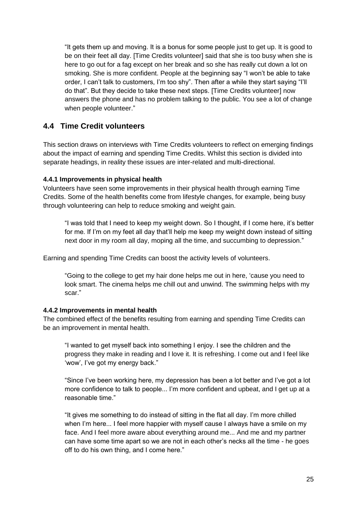"It gets them up and moving. It is a bonus for some people just to get up. It is good to be on their feet all day. [Time Credits volunteer] said that she is too busy when she is here to go out for a fag except on her break and so she has really cut down a lot on smoking. She is more confident. People at the beginning say "I won't be able to take order, I can't talk to customers, I'm too shy". Then after a while they start saying "I'll do that". But they decide to take these next steps. [Time Credits volunteer] now answers the phone and has no problem talking to the public. You see a lot of change when people volunteer."

## <span id="page-24-0"></span>**4.4 Time Credit volunteers**

This section draws on interviews with Time Credits volunteers to reflect on emerging findings about the impact of earning and spending Time Credits. Whilst this section is divided into separate headings, in reality these issues are inter-related and multi-directional.

### **4.4.1 Improvements in physical health**

Volunteers have seen some improvements in their physical health through earning Time Credits. Some of the health benefits come from lifestyle changes, for example, being busy through volunteering can help to reduce smoking and weight gain.

"I was told that I need to keep my weight down. So I thought, if I come here, it's better for me. If I'm on my feet all day that'll help me keep my weight down instead of sitting next door in my room all day, moping all the time, and succumbing to depression."

Earning and spending Time Credits can boost the activity levels of volunteers.

"Going to the college to get my hair done helps me out in here, 'cause you need to look smart. The cinema helps me chill out and unwind. The swimming helps with my scar."

### **4.4.2 Improvements in mental health**

The combined effect of the benefits resulting from earning and spending Time Credits can be an improvement in mental health.

"I wanted to get myself back into something I enjoy. I see the children and the progress they make in reading and I love it. It is refreshing. I come out and I feel like 'wow', I've got my energy back."

"Since I've been working here, my depression has been a lot better and I've got a lot more confidence to talk to people... I'm more confident and upbeat, and I get up at a reasonable time."

"It gives me something to do instead of sitting in the flat all day. I'm more chilled when I'm here... I feel more happier with myself cause I always have a smile on my face. And I feel more aware about everything around me... And me and my partner can have some time apart so we are not in each other's necks all the time - he goes off to do his own thing, and I come here."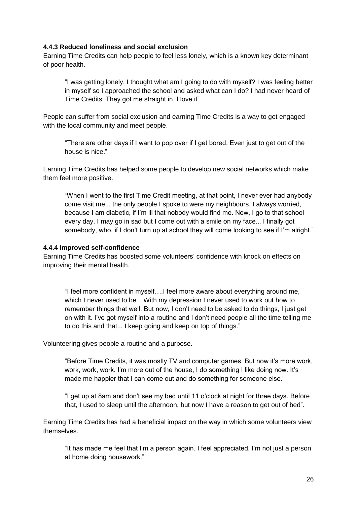#### **4.4.3 Reduced loneliness and social exclusion**

Earning Time Credits can help people to feel less lonely, which is a known key determinant of poor health.

"I was getting lonely. I thought what am I going to do with myself? I was feeling better in myself so I approached the school and asked what can I do? I had never heard of Time Credits. They got me straight in. I love it".

People can suffer from social exclusion and earning Time Credits is a way to get engaged with the local community and meet people.

"There are other days if I want to pop over if I get bored. Even just to get out of the house is nice."

Earning Time Credits has helped some people to develop new social networks which make them feel more positive.

"When I went to the first Time Credit meeting, at that point, I never ever had anybody come visit me... the only people I spoke to were my neighbours. I always worried, because I am diabetic, if I'm ill that nobody would find me. Now, I go to that school every day, I may go in sad but I come out with a smile on my face... I finally got somebody, who, if I don't turn up at school they will come looking to see if I'm alright."

#### **4.4.4 Improved self-confidence**

Earning Time Credits has boosted some volunteers' confidence with knock on effects on improving their mental health.

"I feel more confident in myself….I feel more aware about everything around me, which I never used to be... With my depression I never used to work out how to remember things that well. But now, I don't need to be asked to do things, I just get on with it. I've got myself into a routine and I don't need people all the time telling me to do this and that... I keep going and keep on top of things."

Volunteering gives people a routine and a purpose.

"Before Time Credits, it was mostly TV and computer games. But now it's more work, work, work, work. I'm more out of the house, I do something I like doing now. It's made me happier that I can come out and do something for someone else."

"I get up at 8am and don't see my bed until 11 o'clock at night for three days. Before that, I used to sleep until the afternoon, but now I have a reason to get out of bed".

Earning Time Credits has had a beneficial impact on the way in which some volunteers view themselves.

"It has made me feel that I'm a person again. I feel appreciated. I'm not just a person at home doing housework."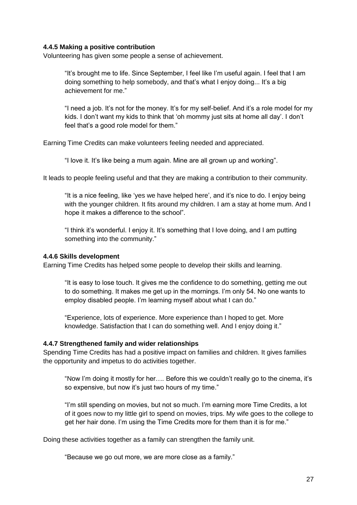#### **4.4.5 Making a positive contribution**

Volunteering has given some people a sense of achievement.

"It's brought me to life. Since September, I feel like I'm useful again. I feel that I am doing something to help somebody, and that's what I enjoy doing... It's a big achievement for me."

"I need a job. It's not for the money. It's for my self-belief. And it's a role model for my kids. I don't want my kids to think that 'oh mommy just sits at home all day'. I don't feel that's a good role model for them."

Earning Time Credits can make volunteers feeling needed and appreciated.

"I love it. It's like being a mum again. Mine are all grown up and working".

It leads to people feeling useful and that they are making a contribution to their community.

"It is a nice feeling, like 'yes we have helped here', and it's nice to do. I enjoy being with the younger children. It fits around my children. I am a stay at home mum. And I hope it makes a difference to the school".

"I think it's wonderful. I enjoy it. It's something that I love doing, and I am putting something into the community."

#### **4.4.6 Skills development**

Earning Time Credits has helped some people to develop their skills and learning.

"It is easy to lose touch. It gives me the confidence to do something, getting me out to do something. It makes me get up in the mornings. I'm only 54. No one wants to employ disabled people. I'm learning myself about what I can do."

"Experience, lots of experience. More experience than I hoped to get. More knowledge. Satisfaction that I can do something well. And I enjoy doing it."

#### **4.4.7 Strengthened family and wider relationships**

Spending Time Credits has had a positive impact on families and children. It gives families the opportunity and impetus to do activities together.

"Now I'm doing it mostly for her…. Before this we couldn't really go to the cinema, it's so expensive, but now it's just two hours of my time."

"I'm still spending on movies, but not so much. I'm earning more Time Credits, a lot of it goes now to my little girl to spend on movies, trips. My wife goes to the college to get her hair done. I'm using the Time Credits more for them than it is for me."

Doing these activities together as a family can strengthen the family unit.

"Because we go out more, we are more close as a family."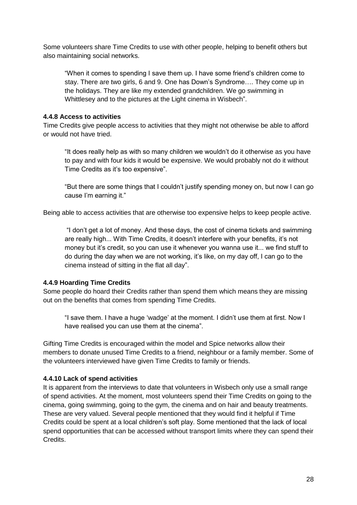Some volunteers share Time Credits to use with other people, helping to benefit others but also maintaining social networks.

"When it comes to spending I save them up. I have some friend's children come to stay. There are two girls, 6 and 9. One has Down's Syndrome…. They come up in the holidays. They are like my extended grandchildren. We go swimming in Whittlesey and to the pictures at the Light cinema in Wisbech".

#### **4.4.8 Access to activities**

Time Credits give people access to activities that they might not otherwise be able to afford or would not have tried.

"It does really help as with so many children we wouldn't do it otherwise as you have to pay and with four kids it would be expensive. We would probably not do it without Time Credits as it's too expensive".

"But there are some things that I couldn't justify spending money on, but now I can go cause I'm earning it."

Being able to access activities that are otherwise too expensive helps to keep people active.

"I don't get a lot of money. And these days, the cost of cinema tickets and swimming are really high... With Time Credits, it doesn't interfere with your benefits, it's not money but it's credit, so you can use it whenever you wanna use it... we find stuff to do during the day when we are not working, it's like, on my day off, I can go to the cinema instead of sitting in the flat all day".

### **4.4.9 Hoarding Time Credits**

Some people do hoard their Credits rather than spend them which means they are missing out on the benefits that comes from spending Time Credits.

"I save them. I have a huge 'wadge' at the moment. I didn't use them at first. Now I have realised you can use them at the cinema".

Gifting Time Credits is encouraged within the model and Spice networks allow their members to donate unused Time Credits to a friend, neighbour or a family member. Some of the volunteers interviewed have given Time Credits to family or friends.

#### **4.4.10 Lack of spend activities**

It is apparent from the interviews to date that volunteers in Wisbech only use a small range of spend activities. At the moment, most volunteers spend their Time Credits on going to the cinema, going swimming, going to the gym, the cinema and on hair and beauty treatments. These are very valued. Several people mentioned that they would find it helpful if Time Credits could be spent at a local children's soft play. Some mentioned that the lack of local spend opportunities that can be accessed without transport limits where they can spend their Credits.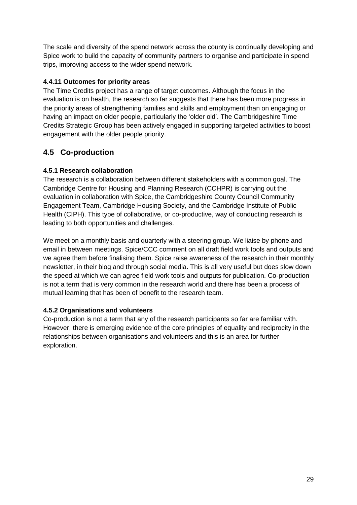The scale and diversity of the spend network across the county is continually developing and Spice work to build the capacity of community partners to organise and participate in spend trips, improving access to the wider spend network.

## **4.4.11 Outcomes for priority areas**

The Time Credits project has a range of target outcomes. Although the focus in the evaluation is on health, the research so far suggests that there has been more progress in the priority areas of strengthening families and skills and employment than on engaging or having an impact on older people, particularly the 'older old'. The Cambridgeshire Time Credits Strategic Group has been actively engaged in supporting targeted activities to boost engagement with the older people priority.

## <span id="page-28-0"></span>**4.5 Co-production**

## **4.5.1 Research collaboration**

The research is a collaboration between different stakeholders with a common goal. The Cambridge Centre for Housing and Planning Research (CCHPR) is carrying out the evaluation in collaboration with Spice, the Cambridgeshire County Council Community Engagement Team, Cambridge Housing Society, and the Cambridge Institute of Public Health (CIPH). This type of collaborative, or co-productive, way of conducting research is leading to both opportunities and challenges.

We meet on a monthly basis and quarterly with a steering group. We liaise by phone and email in between meetings. Spice/CCC comment on all draft field work tools and outputs and we agree them before finalising them. Spice raise awareness of the research in their monthly newsletter, in their blog and through social media. This is all very useful but does slow down the speed at which we can agree field work tools and outputs for publication. Co-production is not a term that is very common in the research world and there has been a process of mutual learning that has been of benefit to the research team.

### **4.5.2 Organisations and volunteers**

Co-production is not a term that any of the research participants so far are familiar with. However, there is emerging evidence of the core principles of equality and reciprocity in the relationships between organisations and volunteers and this is an area for further exploration.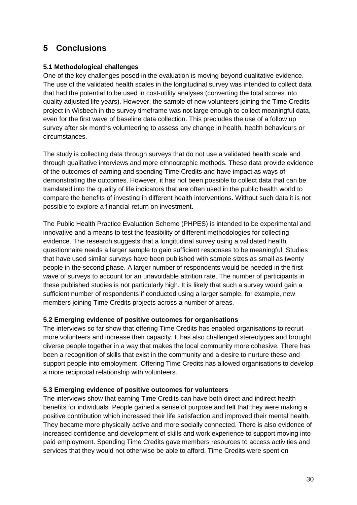# <span id="page-29-0"></span>**5 Conclusions**

### **5.1 Methodological challenges**

One of the key challenges posed in the evaluation is moving beyond qualitative evidence. The use of the validated health scales in the longitudinal survey was intended to collect data that had the potential to be used in cost-utility analyses (converting the total scores into quality adjusted life years). However, the sample of new volunteers joining the Time Credits project in Wisbech in the survey timeframe was not large enough to collect meaningful data, even for the first wave of baseline data collection. This precludes the use of a follow up survey after six months volunteering to assess any change in health, health behaviours or circumstances.

The study is collecting data through surveys that do not use a validated health scale and through qualitative interviews and more ethnographic methods. These data provide evidence of the outcomes of earning and spending Time Credits and have impact as ways of demonstrating the outcomes. However, it has not been possible to collect data that can be translated into the quality of life indicators that are often used in the public health world to compare the benefits of investing in different health interventions. Without such data it is not possible to explore a financial return on investment.

The Public Health Practice Evaluation Scheme (PHPES) is intended to be experimental and innovative and a means to test the feasibility of different methodologies for collecting evidence. The research suggests that a longitudinal survey using a validated health questionnaire needs a larger sample to gain sufficient responses to be meaningful. Studies that have used similar surveys have been published with sample sizes as small as twenty people in the second phase. A larger number of respondents would be needed in the first wave of surveys to account for an unavoidable attrition rate. The number of participants in these published studies is not particularly high. It is likely that such a survey would gain a sufficient number of respondents if conducted using a larger sample, for example, new members joining Time Credits projects across a number of areas.

### **5.2 Emerging evidence of positive outcomes for organisations**

The interviews so far show that offering Time Credits has enabled organisations to recruit more volunteers and increase their capacity. It has also challenged stereotypes and brought diverse people together in a way that makes the local community more cohesive. There has been a recognition of skills that exist in the community and a desire to nurture these and support people into employment. Offering Time Credits has allowed organisations to develop a more reciprocal relationship with volunteers.

### **5.3 Emerging evidence of positive outcomes for volunteers**

The interviews show that earning Time Credits can have both direct and indirect health benefits for individuals. People gained a sense of purpose and felt that they were making a positive contribution which increased their life satisfaction and improved their mental health. They became more physically active and more socially connected. There is also evidence of increased confidence and development of skills and work experience to support moving into paid employment. Spending Time Credits gave members resources to access activities and services that they would not otherwise be able to afford. Time Credits were spent on